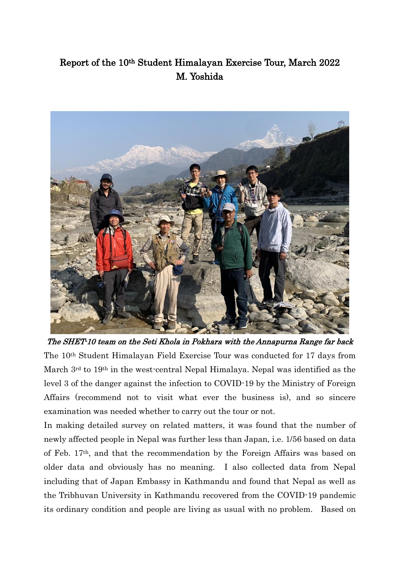## Report of the 10th Student Himalayan Exercise Tour, March 2022 M. Yoshida



The SHET-10 team on the Seti Khola in Pokhara with the Annapurna Range far back The 10th Student Himalayan Field Exercise Tour was conducted for 17 days from March 3rd to 19th in the west-central Nepal Himalaya. Nepal was identified as the level 3 of the danger against the infection to COVID-19 by the Ministry of Foreign Affairs (recommend not to visit what ever the business is), and so sincere examination was needed whether to carry out the tour or not.

In making detailed survey on related matters, it was found that the number of newly affected people in Nepal was further less than Japan, i.e. 1/56 based on data of Feb. 17th, and that the recommendation by the Foreign Affairs was based on older data and obviously has no meaning. I also collected data from Nepal including that of Japan Embassy in Kathmandu and found that Nepal as well as the Tribhuvan University in Kathmandu recovered from the COVID-19 pandemic its ordinary condition and people are living as usual with no problem. Based on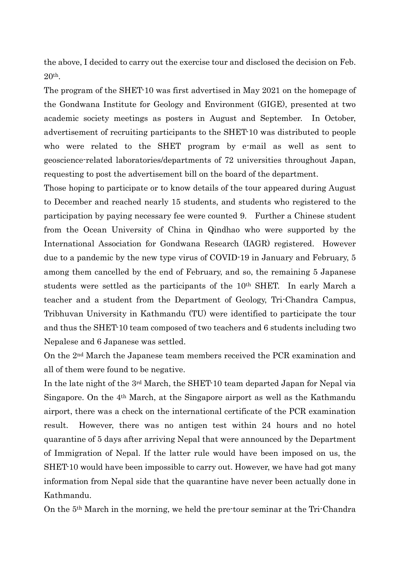the above, I decided to carry out the exercise tour and disclosed the decision on Feb. 20th.

The program of the SHET-10 was first advertised in May 2021 on the homepage of the Gondwana Institute for Geology and Environment (GIGE), presented at two academic society meetings as posters in August and September. In October, advertisement of recruiting participants to the SHET-10 was distributed to people who were related to the SHET program by e-mail as well as sent to geoscience-related laboratories/departments of 72 universities throughout Japan, requesting to post the advertisement bill on the board of the department.

Those hoping to participate or to know details of the tour appeared during August to December and reached nearly 15 students, and students who registered to the participation by paying necessary fee were counted 9. Further a Chinese student from the Ocean University of China in Qindhao who were supported by the International Association for Gondwana Research (IAGR) registered. However due to a pandemic by the new type virus of COVID-19 in January and February, 5 among them cancelled by the end of February, and so, the remaining 5 Japanese students were settled as the participants of the 10th SHET. In early March a teacher and a student from the Department of Geology, Tri-Chandra Campus, Tribhuvan University in Kathmandu (TU) were identified to participate the tour and thus the SHET-10 team composed of two teachers and 6 students including two Nepalese and 6 Japanese was settled.

On the 2nd March the Japanese team members received the PCR examination and all of them were found to be negative.

In the late night of the  $3<sup>rd</sup>$  March, the SHET-10 team departed Japan for Nepal via Singapore. On the 4th March, at the Singapore airport as well as the Kathmandu airport, there was a check on the international certificate of the PCR examination result. However, there was no antigen test within 24 hours and no hotel quarantine of 5 days after arriving Nepal that were announced by the Department of Immigration of Nepal. If the latter rule would have been imposed on us, the SHET-10 would have been impossible to carry out. However, we have had got many information from Nepal side that the quarantine have never been actually done in Kathmandu.

On the 5th March in the morning, we held the pre-tour seminar at the Tri-Chandra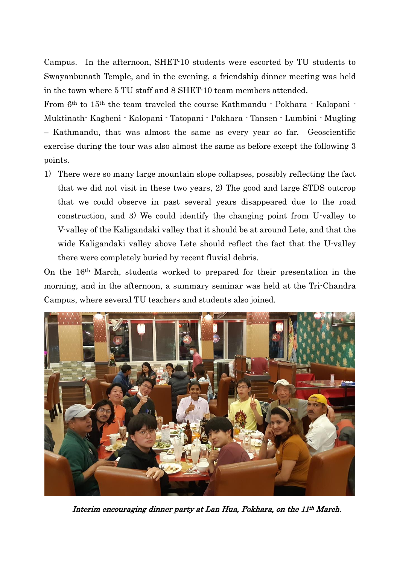Campus. In the afternoon, SHET-10 students were escorted by TU students to Swayanbunath Temple, and in the evening, a friendship dinner meeting was held in the town where 5 TU staff and 8 SHET-10 team members attended.

From 6th to 15th the team traveled the course Kathmandu - Pokhara - Kalopani - Muktinath- Kagbeni - Kalopani - Tatopani - Pokhara - Tansen - Lumbini - Mugling – Kathmandu, that was almost the same as every year so far. Geoscientific exercise during the tour was also almost the same as before except the following 3 points.

1) There were so many large mountain slope collapses, possibly reflecting the fact that we did not visit in these two years, 2) The good and large STDS outcrop that we could observe in past several years disappeared due to the road construction, and 3) We could identify the changing point from U-valley to V-valley of the Kaligandaki valley that it should be at around Lete, and that the wide Kaligandaki valley above Lete should reflect the fact that the U-valley there were completely buried by recent fluvial debris.

On the 16th March, students worked to prepared for their presentation in the morning, and in the afternoon, a summary seminar was held at the Tri-Chandra Campus, where several TU teachers and students also joined.



Interim encouraging dinner party at Lan Hua, Pokhara, on the 11th March.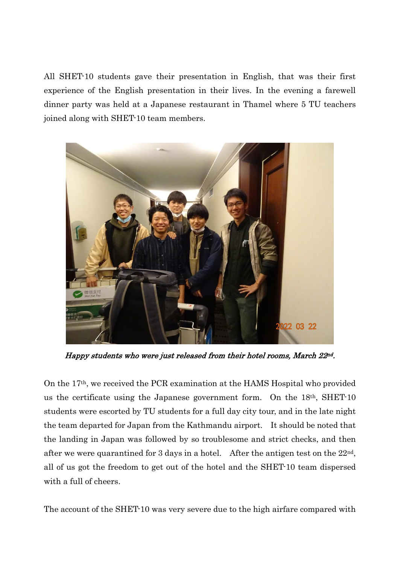All SHET-10 students gave their presentation in English, that was their first experience of the English presentation in their lives. In the evening a farewell dinner party was held at a Japanese restaurant in Thamel where 5 TU teachers joined along with SHET-10 team members.



Happy students who were just released from their hotel rooms, March 22<sup>nd</sup>.

On the 17th, we received the PCR examination at the HAMS Hospital who provided us the certificate using the Japanese government form. On the 18th, SHET-10 students were escorted by TU students for a full day city tour, and in the late night the team departed for Japan from the Kathmandu airport. It should be noted that the landing in Japan was followed by so troublesome and strict checks, and then after we were quarantined for 3 days in a hotel. After the antigen test on the  $22<sup>nd</sup>$ , all of us got the freedom to get out of the hotel and the SHET-10 team dispersed with a full of cheers.

The account of the SHET-10 was very severe due to the high airfare compared with